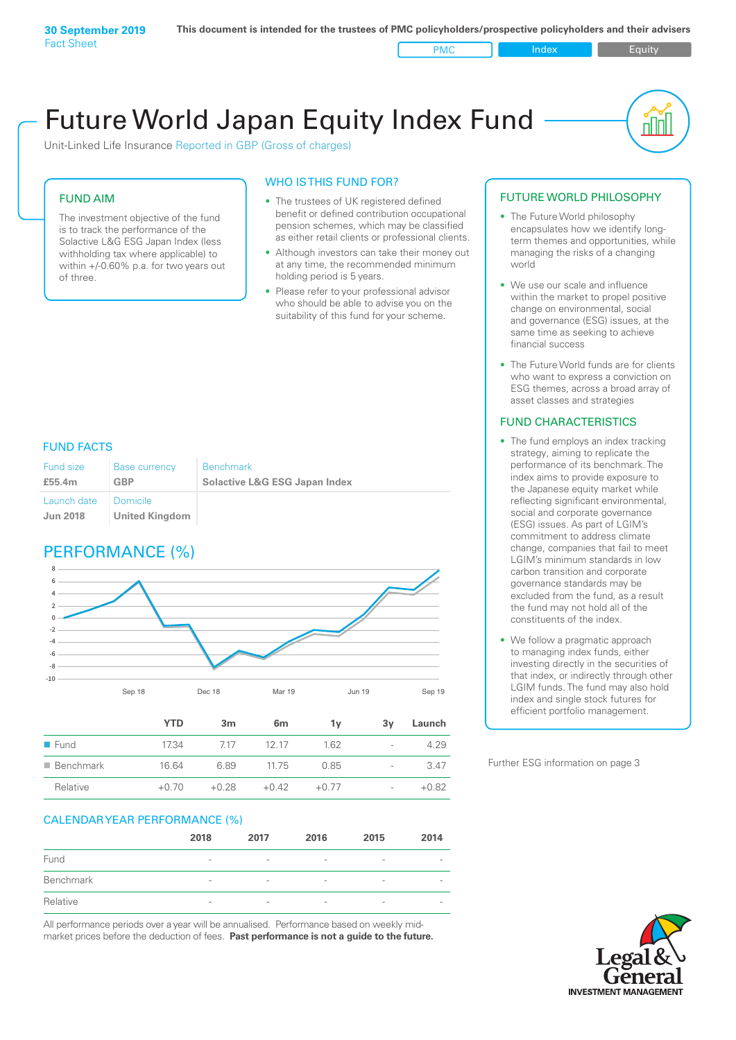Unit-Linked Life Insurance Reported in GBP (Gross of charges)

#### FUND AIM

The investment objective of the fund is to track the performance of the Solactive L&G ESG Japan Index (less withholding tax where applicable) to within +/-0.60% p.a. for two years out of three.

#### WHO IS THIS FUND FOR?

- The trustees of UK registered defined benefit or defined contribution occupational pension schemes, which may be classified as either retail clients or professional clients.
- Although investors can take their money out at any time, the recommended minimum holding period is 5 years.
- Please refer to your professional advisor who should be able to advise you on the suitability of this fund for your scheme.

#### FUND FACTS

| Fund size<br>£55.4m    | <b>Base currency</b><br>GBP | <b>Benchmark</b><br><b>Solactive L&amp;G ESG Japan Index</b> |
|------------------------|-----------------------------|--------------------------------------------------------------|
| Launch date   Domicile |                             |                                                              |
| <b>Jun 2018</b>        | <b>United Kingdom</b>       |                                                              |

### PERFORMANCE (%)



|                          | YTD     | 3 <sub>m</sub> | 6 <sub>m</sub> | 1v      | 3v                       | Launch  |
|--------------------------|---------|----------------|----------------|---------|--------------------------|---------|
| $\blacksquare$ Fund      | 17.34   | 717            | 12 17          | 162     | $\overline{\phantom{0}}$ | 4.29    |
| $\blacksquare$ Benchmark | 16.64   | 6.89           | 11.75          | 0.85    | $\overline{\phantom{a}}$ | 3.47    |
| Relative                 | $+0.70$ | $+0.28$        | $+0.42$        | $+0.77$ | $\overline{\phantom{0}}$ | $+0.82$ |

#### CALENDAR YEAR PERFORMANCE (%)

|           | 2018                     | 2017                     | 2016                     | 2015                     | 2014                     |
|-----------|--------------------------|--------------------------|--------------------------|--------------------------|--------------------------|
| Fund      | $\overline{\phantom{a}}$ | $\overline{\phantom{a}}$ | $\overline{\phantom{a}}$ | $\overline{\phantom{a}}$ | $\overline{\phantom{0}}$ |
| Benchmark | $\overline{\phantom{a}}$ | $\overline{\phantom{a}}$ | $\overline{\phantom{a}}$ | $\overline{\phantom{a}}$ | $\overline{\phantom{0}}$ |
| Relative  | $\overline{\phantom{a}}$ | $\overline{\phantom{a}}$ | $\qquad \qquad$          | $\overline{\phantom{a}}$ | $\qquad \qquad$          |

All performance periods over a year will be annualised. Performance based on weekly midmarket prices before the deduction of fees. **Past performance is not a guide to the future.**

#### FUTURE WORLD PHILOSOPHY

- The Future World philosophy encapsulates how we identify longterm themes and opportunities, while managing the risks of a changing world
- We use our scale and influence within the market to propel positive change on environmental, social and governance (ESG) issues, at the same time as seeking to achieve financial success
- The Future World funds are for clients who want to express a conviction on ESG themes, across a broad array of asset classes and strategies

#### FUND CHARACTERISTICS

- The fund employs an index tracking strategy, aiming to replicate the performance of its benchmark. The index aims to provide exposure to the Japanese equity market while reflecting significant environmental, social and corporate governance (ESG) issues. As part of LGIM's commitment to address climate change, companies that fail to meet LGIM's minimum standards in low carbon transition and corporate governance standards may be excluded from the fund, as a result the fund may not hold all of the constituents of the index.
- We follow a pragmatic approach to managing index funds, either investing directly in the securities of that index, or indirectly through other LGIM funds. The fund may also hold index and single stock futures for efficient portfolio management.

Further ESG information on page 3

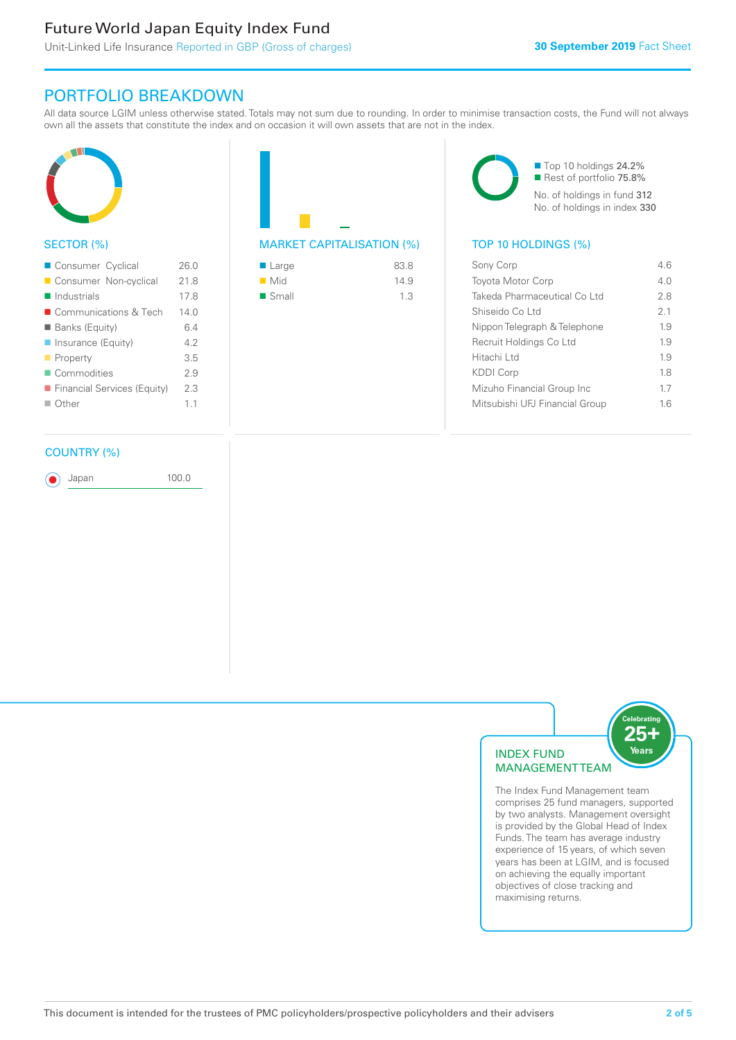### PORTFOLIO BREAKDOWN

All data source LGIM unless otherwise stated. Totals may not sum due to rounding. In order to minimise transaction costs, the Fund will not always own all the assets that constitute the index and on occasion it will own assets that are not in the index.



#### SECTOR (%)

| Consumer Cyclical             | 26 O |
|-------------------------------|------|
| Consumer Non-cyclical         | 21.8 |
| $\blacksquare$ Industrials    | 17.8 |
| ■ Communications & Tech       | 140  |
| ■ Banks (Equity)              | 64   |
| ■ Insurance (Equity)          | 42   |
| $\blacksquare$ Property       | 35   |
| Commodities                   | 29   |
| ■ Financial Services (Equity) | 23   |
| $\Box$ Other                  | 11   |
|                               |      |

#### COUNTRY (%)

Japan 100.0

| 83.8 |
|------|
| 14.9 |
| 1.3  |
|      |

■ Top 10 holdings 24.2% Rest of portfolio 75.8% No. of holdings in fund 312 No. of holdings in index 330

#### MARKET CAPITALISATION (%) TOP 10 HOLDINGS (%)

| 46  |
|-----|
| 4 N |
| 28  |
| 2.1 |
| 1.9 |
| 1.9 |
| 1.9 |
| 18  |
| 17  |
| 16  |
|     |



The Index Fund Management team comprises 25 fund managers, supported by two analysts. Management oversight is provided by the Global Head of Index Funds. The team has average industry experience of 15 years, of which seven years has been at LGIM, and is focused on achieving the equally important objectives of close tracking and maximising returns.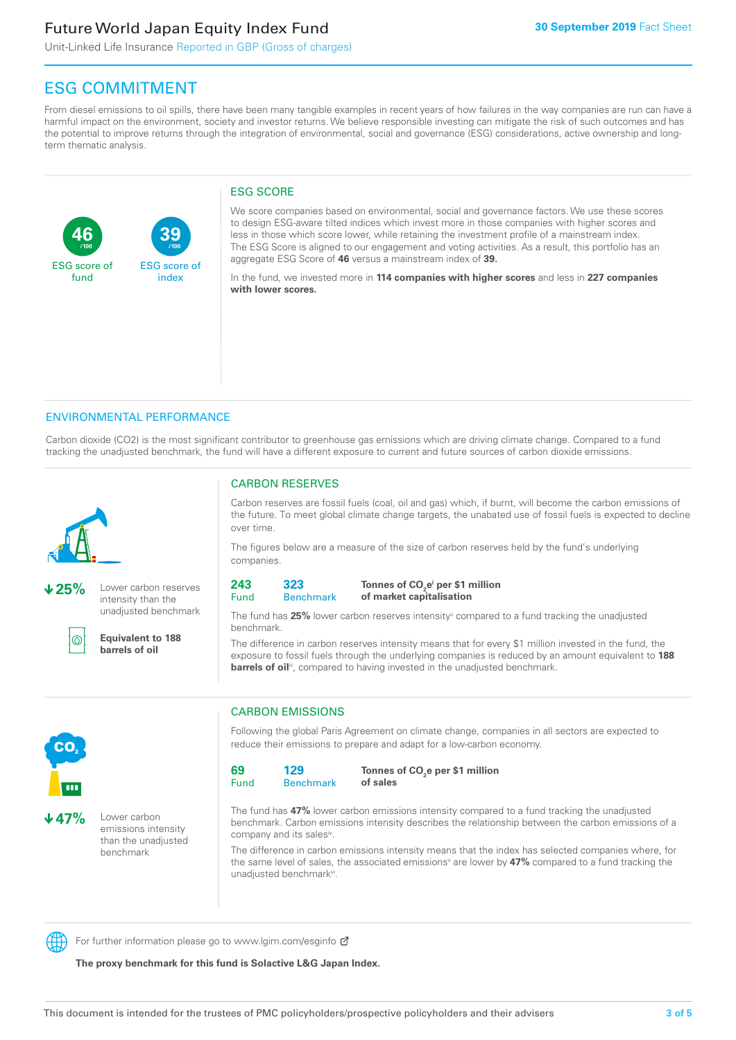**39**

ESG score of index

Unit-Linked Life Insurance Reported in GBP (Gross of charges)

## ESG COMMITMENT

**/100 /100**

From diesel emissions to oil spills, there have been many tangible examples in recent years of how failures in the way companies are run can have a harmful impact on the environment, society and investor returns. We believe responsible investing can mitigate the risk of such outcomes and has the potential to improve returns through the integration of environmental, social and governance (ESG) considerations, active ownership and longterm thematic analysis.

#### ESG SCORE

We score companies based on environmental, social and governance factors. We use these scores to design ESG-aware tilted indices which invest more in those companies with higher scores and less in those which score lower, while retaining the investment profile of a mainstream index. The ESG Score is aligned to our engagement and voting activities. As a result, this portfolio has an aggregate ESG Score of **46** versus a mainstream index of **39.**

In the fund, we invested more in **114 companies with higher scores** and less in **227 companies with lower scores.**

#### ENVIRONMENTAL PERFORMANCE

Carbon dioxide (CO2) is the most significant contributor to greenhouse gas emissions which are driving climate change. Compared to a fund tracking the unadjusted benchmark, the fund will have a different exposure to current and future sources of carbon dioxide emissions.



**46**

ESG score of fund

**25%** Lower carbon reserves intensity than the unadjusted benchmark



**Equivalent to 188 barrels of oil**

#### CARBON RESERVES

Carbon reserves are fossil fuels (coal, oil and gas) which, if burnt, will become the carbon emissions of the future. To meet global climate change targets, the unabated use of fossil fuels is expected to decline over time.

The figures below are a measure of the size of carbon reserves held by the fund's underlying companies.

| 243  | つつつ |
|------|-----|
| Fund | Ben |

#### **323 Benchmark** Tonnes of CO<sub>2</sub>e<sup>i</sup> per \$1 million **of market capitalisation**

The fund has 25% lower carbon reserves intensity<sup>ii</sup> compared to a fund tracking the unadjusted benchmark.

The difference in carbon reserves intensity means that for every \$1 million invested in the fund, the exposure to fossil fuels through the underlying companies is reduced by an amount equivalent to **188**  barrels of oil<sup>iii</sup>, compared to having invested in the unadjusted benchmark.



**47%** Lower carbon emissions intensity than the unadjusted benchmark

### CARBON EMISSIONS

Following the global Paris Agreement on climate change, companies in all sectors are expected to reduce their emissions to prepare and adapt for a low-carbon economy.

| 69   | 129              |  |
|------|------------------|--|
| Fund | <b>Benchmark</b> |  |

Tonnes of CO<sub>2</sub>e per \$1 million **of sales**

The fund has **47%** lower carbon emissions intensity compared to a fund tracking the unadjusted benchmark. Carbon emissions intensity describes the relationship between the carbon emissions of a company and its sales<sup>iv</sup>.

The difference in carbon emissions intensity means that the index has selected companies where, for the same level of sales, the associated emissions<sup>v</sup> are lower by **47%** compared to a fund tracking the unadjusted benchmark<sup>vi</sup>.



For further information please go to www.lgim.com/esginfo Ø

**The proxy benchmark for this fund is Solactive L&G Japan Index.**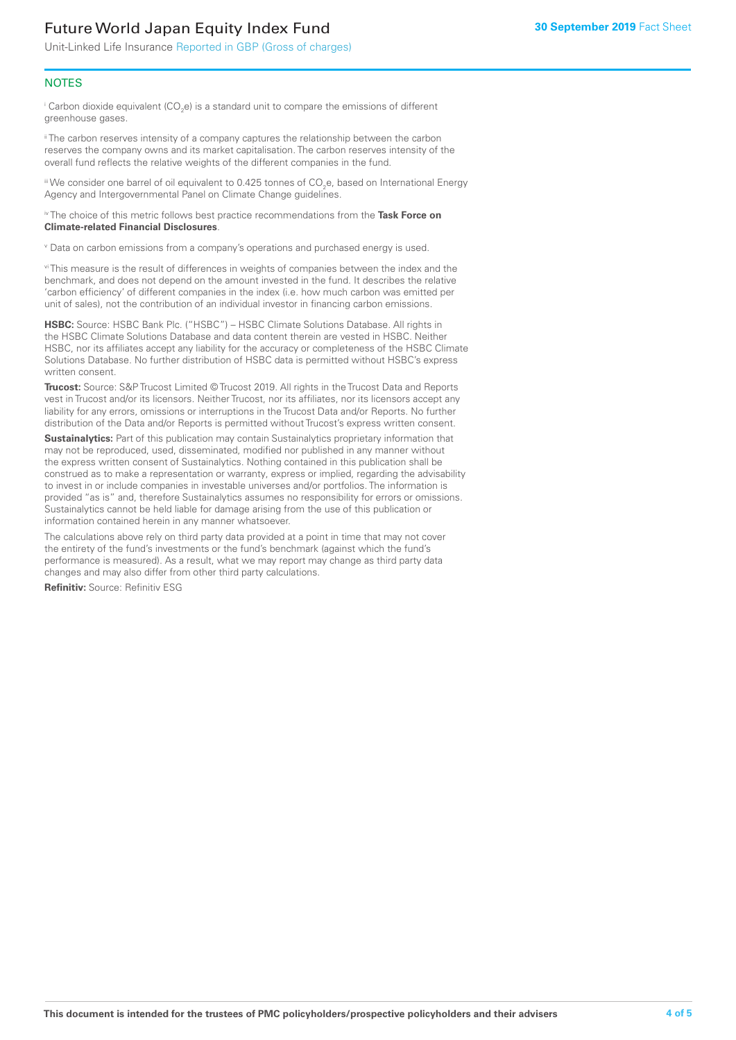Unit-Linked Life Insurance Reported in GBP (Gross of charges)

#### **NOTES**

 $^\mathrm{i}$  Carbon dioxide equivalent (CO<sub>2</sub>e) is a standard unit to compare the emissions of different greenhouse gases.

<sup>ii</sup> The carbon reserves intensity of a company captures the relationship between the carbon reserves the company owns and its market capitalisation. The carbon reserves intensity of the overall fund reflects the relative weights of the different companies in the fund.

iii We consider one barrel of oil equivalent to 0.425 tonnes of CO<sub>2</sub>e, based on International Energy Agency and Intergovernmental Panel on Climate Change guidelines.

#### iv The choice of this metric follows best practice recommendations from the **Task Force on Climate-related Financial Disclosures**.

v Data on carbon emissions from a company's operations and purchased energy is used.

vi This measure is the result of differences in weights of companies between the index and the benchmark, and does not depend on the amount invested in the fund. It describes the relative 'carbon efficiency' of different companies in the index (i.e. how much carbon was emitted per unit of sales), not the contribution of an individual investor in financing carbon emissions.

**HSBC:** Source: HSBC Bank Plc. ("HSBC") – HSBC Climate Solutions Database. All rights in the HSBC Climate Solutions Database and data content therein are vested in HSBC. Neither HSBC, nor its affiliates accept any liability for the accuracy or completeness of the HSBC Climate Solutions Database. No further distribution of HSBC data is permitted without HSBC's express written consent.

**Trucost:** Source: S&P Trucost Limited © Trucost 2019. All rights in the Trucost Data and Reports vest in Trucost and/or its licensors. Neither Trucost, nor its affiliates, nor its licensors accept any liability for any errors, omissions or interruptions in the Trucost Data and/or Reports. No further distribution of the Data and/or Reports is permitted without Trucost's express written consent.

**Sustainalytics:** Part of this publication may contain Sustainalytics proprietary information that may not be reproduced, used, disseminated, modified nor published in any manner without the express written consent of Sustainalytics. Nothing contained in this publication shall be construed as to make a representation or warranty, express or implied, regarding the advisability to invest in or include companies in investable universes and/or portfolios. The information is provided "as is" and, therefore Sustainalytics assumes no responsibility for errors or omissions. Sustainalytics cannot be held liable for damage arising from the use of this publication or information contained herein in any manner whatsoever.

The calculations above rely on third party data provided at a point in time that may not cover the entirety of the fund's investments or the fund's benchmark (against which the fund's performance is measured). As a result, what we may report may change as third party data changes and may also differ from other third party calculations.

**Refinitiv:** Source: Refinitiv ESG